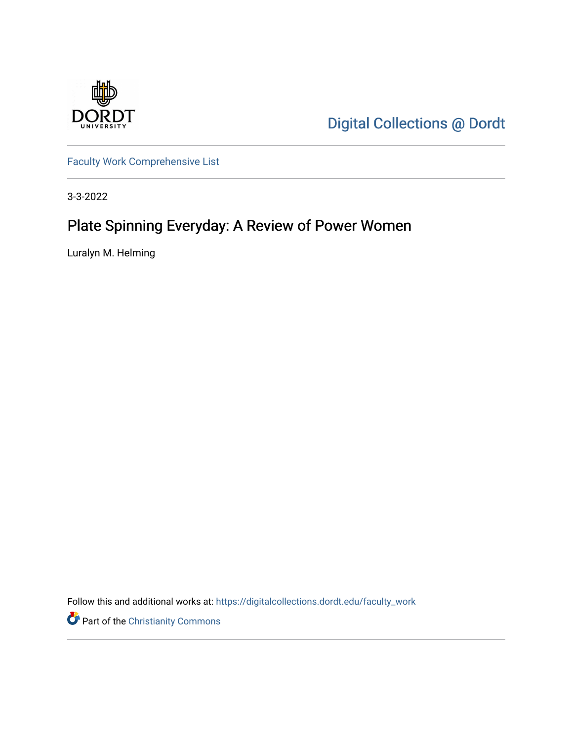

[Digital Collections @ Dordt](https://digitalcollections.dordt.edu/) 

[Faculty Work Comprehensive List](https://digitalcollections.dordt.edu/faculty_work)

3-3-2022

# Plate Spinning Everyday: A Review of Power Women

Luralyn M. Helming

Follow this and additional works at: [https://digitalcollections.dordt.edu/faculty\\_work](https://digitalcollections.dordt.edu/faculty_work?utm_source=digitalcollections.dordt.edu%2Ffaculty_work%2F1372&utm_medium=PDF&utm_campaign=PDFCoverPages) 

Part of the [Christianity Commons](http://network.bepress.com/hgg/discipline/1181?utm_source=digitalcollections.dordt.edu%2Ffaculty_work%2F1372&utm_medium=PDF&utm_campaign=PDFCoverPages)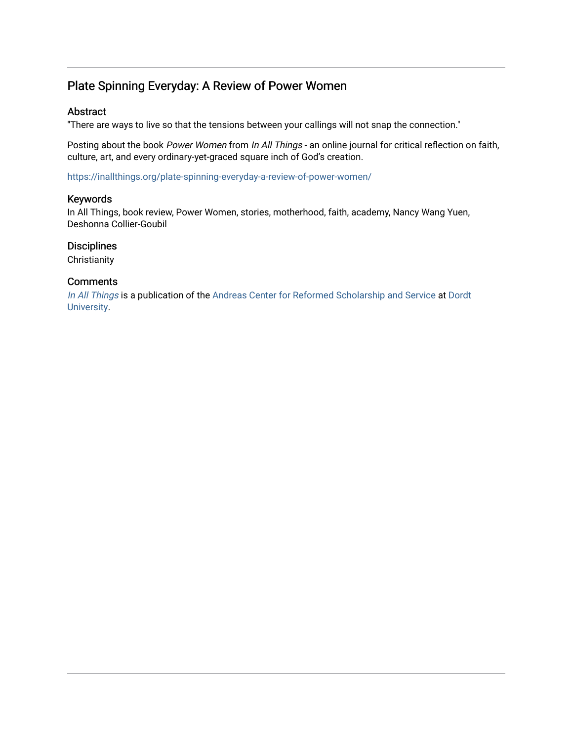### Plate Spinning Everyday: A Review of Power Women

#### Abstract

"There are ways to live so that the tensions between your callings will not snap the connection."

Posting about the book Power Women from In All Things - an online journal for critical reflection on faith, culture, art, and every ordinary-yet-graced square inch of God's creation.

<https://inallthings.org/plate-spinning-everyday-a-review-of-power-women/>

#### Keywords

In All Things, book review, Power Women, stories, motherhood, faith, academy, Nancy Wang Yuen, Deshonna Collier-Goubil

#### **Disciplines**

**Christianity** 

#### **Comments**

[In All Things](http://inallthings.org/) is a publication of the [Andreas Center for Reformed Scholarship and Service](http://www.dordt.edu/services_support/andreas_center/) at Dordt [University](http://www.dordt.edu/).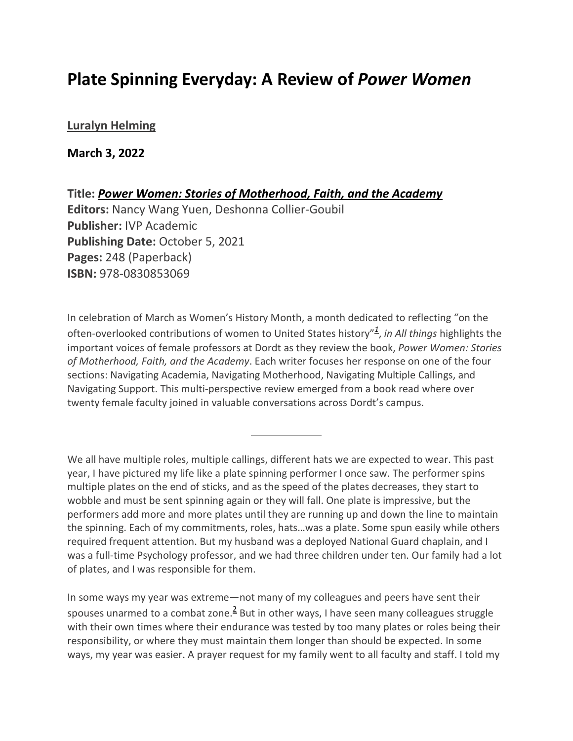## **Plate Spinning Everyday: A Review of** *Power Women*

### **[Luralyn Helming](https://inallthings.org/author/luralyn-helming/)**

**March 3, 2022**

**Title:** *Power Women: Stories of Motherhood, Faith, and the Academy* **Editors:** Nancy Wang Yuen, Deshonna Collier-Goubil **Publisher:** IVP Academic **Publishing Date:** October 5, 2021 **Pages:** 248 (Paperback) **ISBN:** 978-0830853069

In celebration of March as Women's History Month, a month dedicated to reflecting "on the often-overlooked contributions of women to United States history"*<sup>1</sup>* , *in All things* highlights the important voices of female professors at Dordt as they review the book, *Power Women: Stories of Motherhood, Faith, and the Academy*. Each writer focuses her response on one of the four sections: Navigating Academia, Navigating Motherhood, Navigating Multiple Callings, and Navigating Support. This multi-perspective review emerged from a book read where over twenty female faculty joined in valuable conversations across Dordt's campus.

We all have multiple roles, multiple callings, different hats we are expected to wear. This past year, I have pictured my life like a plate spinning performer I once saw. The performer spins multiple plates on the end of sticks, and as the speed of the plates decreases, they start to wobble and must be sent spinning again or they will fall. One plate is impressive, but the performers add more and more plates until they are running up and down the line to maintain the spinning. Each of my commitments, roles, hats…was a plate. Some spun easily while others required frequent attention. But my husband was a deployed National Guard chaplain, and I was a full-time Psychology professor, and we had three children under ten. Our family had a lot of plates, and I was responsible for them.

In some ways my year was extreme—not many of my colleagues and peers have sent their spouses unarmed to a combat zone.<sup>2</sup> But in other ways, I have seen many colleagues struggle with their own times where their endurance was tested by too many plates or roles being their responsibility, or where they must maintain them longer than should be expected. In some ways, my year was easier. A prayer request for my family went to all faculty and staff. I told my